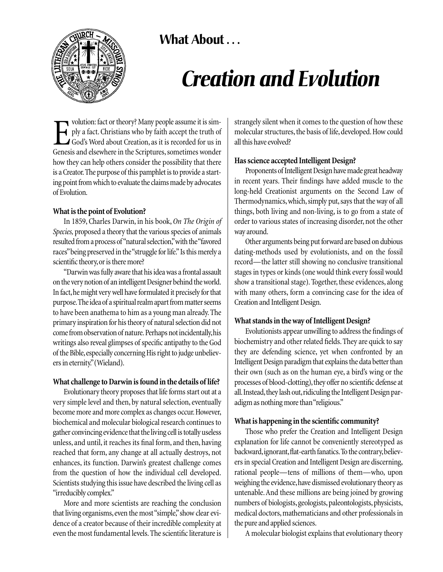



# *Creation and Evolution*

volution: fact or theory? Many people assume it is simply a fact. Christians who by faith accept the truth of God's Word about Creation, as it is recorded for us in Genesis and elsewhere in the Scriptures, sometimes wonder volution: fact or theory? Many people assume it is simply a fact. Christians who by faith accept the truth of God's Word about Creation, as it is recorded for us in how they can help others consider the possibility that there is a Creator.The purpose of this pamphlet is to provide a starting point from which to evaluate the claims made by advocates of Evolution.

## **What is the point of Evolution?**

In 1859, Charles Darwin, in his book, *On The Origin of Species,* proposed a theory that the various species of animals resulted from a process of "natural selection,"with the "favored races"being preserved in the "struggle for life." Is this merely a scientific theory, or is there more?

"Darwin was fully aware that his idea was a frontal assault on the very notion of an intelligent Designer behind the world. In fact,he might very well have formulated it precisely for that purpose.The idea of a spiritual realm apart from matter seems to have been anathema to him as a young man already. The primary inspiration for his theory of natural selection did not come from observation of nature. Perhaps not incidentally,his writings also reveal glimpses of specific antipathy to the God of the Bible, especially concerning His right to judge unbelievers in eternity."(Wieland).

## **What challenge to Darwin is found in the details of life?**

Evolutionary theory proposes that life forms start out at a very simple level and then, by natural selection, eventually become more and more complex as changes occur.However, biochemical and molecular biological research continues to gather convincing evidence that the living cell is totally useless unless, and until, it reaches its final form, and then, having reached that form, any change at all actually destroys, not enhances, its function. Darwin's greatest challenge comes from the question of how the individual cell developed. Scientists studying this issue have described the living cell as "irreducibly complex."

More and more scientists are reaching the conclusion that living organisms, even the most "simple," show clear evidence of a creator because of their incredible complexity at even the most fundamental levels. The scientific literature is strangely silent when it comes to the question of how these molecular structures, the basis of life, developed. How could all this have evolved?

# **Has science accepted Intelligent Design?**

Proponents of Intelligent Design have made great headway in recent years. Their findings have added muscle to the long-held Creationist arguments on the Second Law of Thermodynamics, which, simply put, says that the way of all things, both living and non-living, is to go from a state of order to various states of increasing disorder, not the other way around.

Other arguments being put forward are based on dubious dating-methods used by evolutionists, and on the fossil record—the latter still showing no conclusive transitional stages in types or kinds (one would think every fossil would show a transitional stage). Together, these evidences, along with many others, form a convincing case for the idea of Creation and Intelligent Design.

# **What stands in the way of Intelligent Design?**

Evolutionists appear unwilling to address the findings of biochemistry and other related fields. They are quick to say they are defending science, yet when confronted by an Intelligent Design paradigm that explains the data better than their own (such as on the human eye, a bird's wing or the processes of blood-clotting), they offer no scientific defense at all. Instead, they lash out, ridiculing the Intelligent Design paradigm as nothing more than "religious."

# **What is happening in the scientific community?**

Those who prefer the Creation and Intelligent Design explanation for life cannot be conveniently stereotyped as backward, ignorant, flat-earth fanatics. To the contrary, believers in special Creation and Intelligent Design are discerning, rational people—tens of millions of them—who, upon weighing the evidence,have dismissed evolutionary theory as untenable.And these millions are being joined by growing numbers of biologists, geologists, paleontologists, physicists, medical doctors, mathematicians and other professionals in the pure and applied sciences.

A molecular biologist explains that evolutionary theory